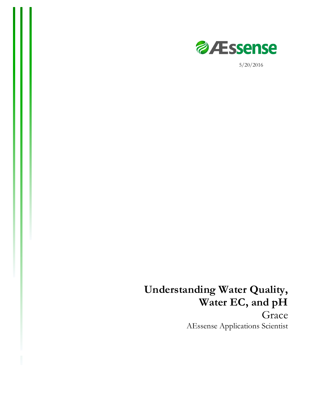

5/20/2016

# **Understanding Water Quality, Water EC, and pH** Grace AEssense Applications Scientist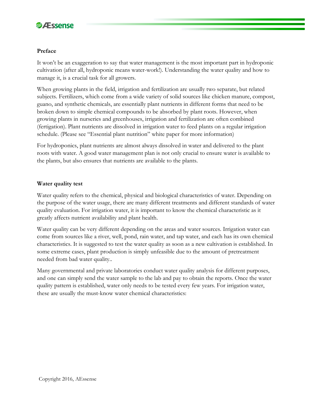

#### **Preface**

It won't be an exaggeration to say that water management is the most important part in hydroponic cultivation (after all, hydroponic means water-work!). Understanding the water quality and how to manage it, is a crucial task for all growers.

When growing plants in the field, irrigation and fertilization are usually two separate, but related subjects. Fertilizers, which come from a wide variety of solid sources like chicken manure, compost, guano, and synthetic chemicals, are essentially plant nutrients in different forms that need to be broken down to simple chemical compounds to be absorbed by plant roots. However, when growing plants in nurseries and greenhouses, irrigation and fertilization are often combined (fertigation). Plant nutrients are dissolved in irrigation water to feed plants on a regular irrigation schedule. (Please see "Essential plant nutrition" white paper for more information)

For hydroponics, plant nutrients are almost always dissolved in water and delivered to the plant roots with water. A good water management plan is not only crucial to ensure water is available to the plants, but also ensures that nutrients are available to the plants.

## **Water quality test**

Water quality refers to the chemical, physical and biological characteristics of water. Depending on the purpose of the water usage, there are many different treatments and different standards of water quality evaluation. For irrigation water, it is important to know the chemical characteristic as it greatly affects nutrient availability and plant health.

Water quality can be very different depending on the areas and water sources. Irrigation water can come from sources like a river, well, pond, rain water, and tap water, and each has its own chemical characteristics. It is suggested to test the water quality as soon as a new cultivation is established. In some extreme cases, plant production is simply unfeasible due to the amount of pretreatment needed from bad water quality..

Many governmental and private laboratories conduct water quality analysis for different purposes, and one can simply send the water sample to the lab and pay to obtain the reports. Once the water quality pattern is established, water only needs to be tested every few years. For irrigation water, these are usually the must-know water chemical characteristics: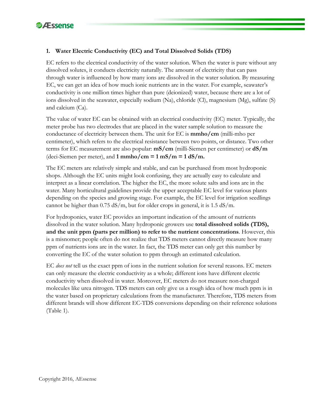

# **1. Water Electric Conductivity (EC) and Total Dissolved Solids (TDS)**

EC refers to the electrical conductivity of the water solution. When the water is pure without any dissolved solutes, it conducts electricity naturally. The amount of electricity that can pass through water is influenced by how many ions are dissolved in the water solution. By measuring EC, we can get an idea of how much ionic nutrients are in the water. For example, seawater's conductivity is one million times higher than pure (deionized) water, because there are a lot of ions dissolved in the seawater, especially sodium (Na), chloride (Cl), magnesium (Mg), sulfate (S) and calcium (Ca).

The value of water EC can be obtained with an electrical conductivity (EC) meter. Typically, the meter probe has two electrodes that are placed in the water sample solution to measure the conductance of electricity between them. The unit for EC is **mmho/cm** (milli-mho per centimeter), which refers to the electrical resistance between two points, or distance. Two other terms for EC measurement are also popular: **mS/cm** (milli-Siemen per centimeter) or **dS/m** (deci-Siemen per meter), and **1 mmho/cm = 1 mS/m = 1 dS/m.** 

The EC meters are relatively simple and stable, and can be purchased from most hydroponic shops. Although the EC units might look confusing, they are actually easy to calculate and interpret as a linear correlation. The higher the EC, the more solute salts and ions are in the water. Many horticultural guidelines provide the upper acceptable EC level for various plants depending on the species and growing stage. For example, the EC level for irrigation seedlings cannot be higher than  $0.75 \text{ dS/m}$ , but for older crops in general, it is 1.5 dS/m.

For hydroponics, water EC provides an important indication of the amount of nutrients dissolved in the water solution. Many hydroponic growers use **total dissolved solids (TDS), and the unit ppm (parts per million) to refer to the nutrient concentrations**. However, this is a misnomer; people often do not realize that TDS meters cannot directly measure how many ppm of nutrients ions are in the water. In fact, the TDS meter can only get this number by converting the EC of the water solution to ppm through an estimated calculation.

EC *does not* tell us the exact ppm of ions in the nutrient solution for several reasons. EC meters can only measure the electric conductivity as a whole; different ions have different electric conductivity when dissolved in water. Moreover, EC meters do not measure non-charged molecules like urea nitrogen. TDS meters can only give us a rough idea of how much ppm is in the water based on proprietary calculations from the manufacturer. Therefore, TDS meters from different brands will show different EC-TDS conversions depending on their reference solutions (Table 1).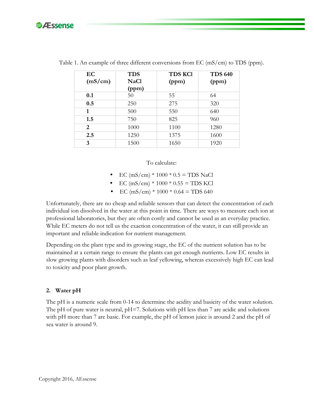

| EC<br>(mS/cm) | <b>TDS</b><br><b>NaCl</b><br>(ppm) | <b>TDS KCI</b><br>(ppm) | <b>TDS 640</b><br>(ppm) |
|---------------|------------------------------------|-------------------------|-------------------------|
| 0.1           | 50                                 | 55                      | 64                      |
| 0.5           | 250                                | 275                     | 320                     |
| 1             | 500                                | 550                     | 640                     |
| 1.5           | 750                                | 825                     | 960                     |
| 2             | 1000                               | 1100                    | 1280                    |
| 2.5           | 1250                               | 1375                    | 1600                    |
| 3             | 1500                               | 1650                    | 1920                    |

Table 1. An example of three different conversions from EC (mS/cm) to TDS (ppm).

To calculate:

- $EC$  (mS/cm) \* 1000 \* 0.5 = TDS NaCl
- $\text{EC (mS/cm)} * 1000 * 0.55 = \text{TDS KCl}$
- EC (mS/cm) \*  $1000 * 0.64 = TDS 640$

Unfortunately, there are no cheap and reliable sensors that can detect the concentration of each individual ion dissolved in the water at this point in time. There are ways to measure each ion at professional laboratories, but they are often costly and cannot be used as an everyday practice. While EC meters do not tell us the exaction concentration of the water, it can still provide an important and reliable indication for nutrient management.

Depending on the plant type and its growing stage, the EC of the nutrient solution has to be maintained at a certain range to ensure the plants can get enough nutrients. Low EC results in slow growing plants with disorders such as leaf yellowing, whereas excessively high EC can lead to toxicity and poor plant growth.

#### **2. Water pH**

The pH is a numeric scale from 0-14 to determine the acidity and basicity of the water solution. The pH of pure water is neutral,  $pH=7$ . Solutions with pH less than 7 are acidic and solutions with pH more than 7 are basic. For example, the pH of lemon juice is around 2 and the pH of sea water is around 9.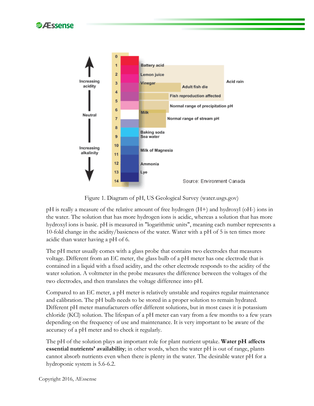



Figure 1. Diagram of pH, US Geological Survey (water.usgs.gov)

pH is really a measure of the relative amount of free hydrogen (H+) and hydroxyl (oH-) ions in the water. The solution that has more hydrogen ions is acidic, whereas a solution that has more hydroxyl ions is basic. pH is measured in "logarithmic units", meaning each number represents a 10-fold change in the acidity/basicness of the water. Water with a pH of 5 is ten times more acidic than water having a pH of 6.

The pH meter usually comes with a glass probe that contains two electrodes that measures voltage. Different from an EC meter, the glass bulb of a pH meter has one electrode that is contained in a liquid with a fixed acidity, and the other electrode responds to the acidity of the water solution. A voltmeter in the probe measures the difference between the voltages of the two electrodes, and then translates the voltage difference into pH.

Compared to an EC meter, a pH meter is relatively unstable and requires regular maintenance and calibration. The pH bulb needs to be stored in a proper solution to remain hydrated. Different pH meter manufacturers offer different solutions, but in most cases it is potassium chloride (KCl) solution. The lifespan of a pH meter can vary from a few months to a few years depending on the frequency of use and maintenance. It is very important to be aware of the accuracy of a pH meter and to check it regularly.

The pH of the solution plays an important role for plant nutrient uptake. **Water pH affects essential nutrients' availability**; in other words, when the water pH is out of range, plants cannot absorb nutrients even when there is plenty in the water. The desirable water pH for a hydroponic system is 5.6-6.2.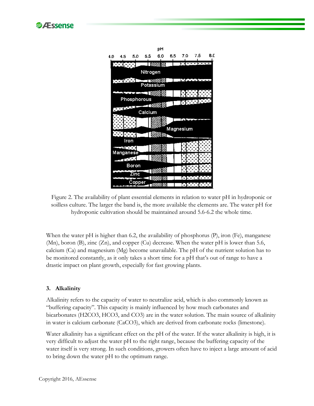



Figure 2. The availability of plant essential elements in relation to water pH in hydroponic or soilless culture. The larger the band is, the more available the elements are. The water pH for hydroponic cultivation should be maintained around 5.6-6.2 the whole time.

When the water pH is higher than 6.2, the availability of phosphorus (P), iron (Fe), manganese (Mn), boron (B), zinc (Zn), and copper (Cu) decrease. When the water pH is lower than 5.6, calcium (Ca) and magnesium (Mg) become unavailable. The pH of the nutrient solution has to be monitored constantly, as it only takes a short time for a pH that's out of range to have a drastic impact on plant growth, especially for fast growing plants.

## **3. Alkalinity**

Alkalinity refers to the capacity of water to neutralize acid, which is also commonly known as "buffering capacity". This capacity is mainly influenced by how much carbonates and bicarbonates (H2CO3, HCO3, and CO3) are in the water solution. The main source of alkalinity in water is calcium carbonate (CaCO3), which are derived from carbonate rocks (limestone).

Water alkalinity has a significant effect on the pH of the water. If the water alkalinity is high, it is very difficult to adjust the water pH to the right range, because the buffering capacity of the water itself is very strong. In such conditions, growers often have to inject a large amount of acid to bring down the water pH to the optimum range.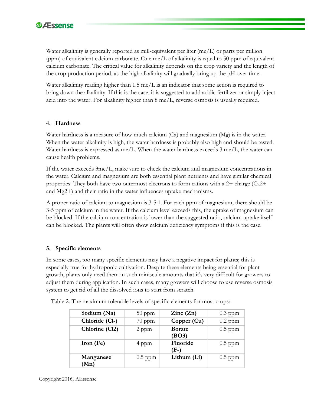

Water alkalinity is generally reported as mill-equivalent per liter (me/L) or parts per million (ppm) of equivalent calcium carbonate. One me/L of alkalinity is equal to 50 ppm of equivalent calcium carbonate. The critical value for alkalinity depends on the crop variety and the length of the crop production period, as the high alkalinity will gradually bring up the pH over time.

Water alkalinity reading higher than 1.5 me/L is an indicator that some action is required to bring down the alkalinity. If this is the case, it is suggested to add acidic fertilizer or simply inject acid into the water. For alkalinity higher than 8 me/L, reverse osmosis is usually required.

## **4. Hardness**

Water hardness is a measure of how much calcium (Ca) and magnesium (Mg) is in the water. When the water alkalinity is high, the water hardness is probably also high and should be tested. Water hardness is expressed as me/L. When the water hardness exceeds  $3 \text{ me/L}$ , the water can cause health problems.

If the water exceeds 3me/L, make sure to check the calcium and magnesium concentrations in the water. Calcium and magnesium are both essential plant nutrients and have similar chemical properties. They both have two outermost electrons to form cations with a  $2+$  charge (Ca $2+$ and Mg2+) and their ratio in the water influences uptake mechanisms.

A proper ratio of calcium to magnesium is 3-5:1. For each ppm of magnesium, there should be 3-5 ppm of calcium in the water. If the calcium level exceeds this, the uptake of magnesium can be blocked. If the calcium concentration is lower than the suggested ratio, calcium uptake itself can be blocked. The plants will often show calcium deficiency symptoms if this is the case.

## **5. Specific elements**

In some cases, too many specific elements may have a negative impact for plants; this is especially true for hydroponic cultivation. Despite these elements being essential for plant growth, plants only need them in such miniscule amounts that it's very difficult for growers to adjust them during application. In such cases, many growers will choose to use reverse osmosis system to get rid of all the dissolved ions to start from scratch.

| Sodium (Na)       | $50$ ppm  | $\text{Zinc}(\text{Zn})$ | $0.3$ ppm |
|-------------------|-----------|--------------------------|-----------|
| Chloride (Cl-)    | $70$ ppm  | Copper (Cu)              | $0.2$ ppm |
| Chlorine (Cl2)    | 2 ppm     | <b>Borate</b><br>(BO3)   | $0.5$ ppm |
| Iron $(Fe)$       | 4 ppm     | Fluoride<br>(F-)         | $0.5$ ppm |
| Manganese<br>(Mn) | $0.5$ ppm | Lithum (Li)              | $0.5$ ppm |

Table 2. The maximum tolerable levels of specific elements for most crops: